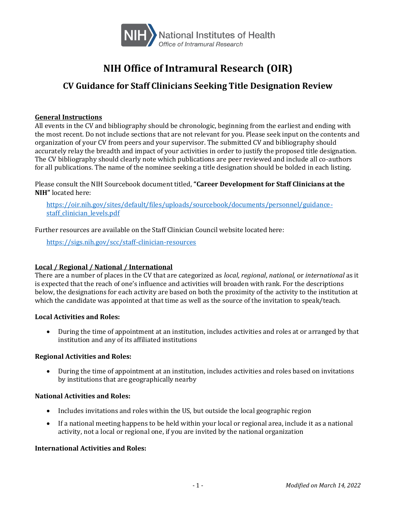

# **NIH Office of Intramural Research (OIR)**

## **CV Guidance for Staff Clinicians Seeking Title Designation Review**

#### **General Instructions**

All events in the CV and bibliography should be chronologic, beginning from the earliest and ending with the most recent. Do not include sections that are not relevant for you. Please seek input on the contents and organization of your CV from peers and your supervisor. The submitted CV and bibliography should accurately relay the breadth and impact of your activities in order to justify the proposed title designation. The CV bibliography should clearly note which publications are peer reviewed and include all co-authors for all publications. The name of the nominee seeking a title designation should be bolded in each listing.

Please consult the NIH Sourcebook document titled, **"Career Development for Staff Clinicians at the NIH"** located here:

[https://oir.nih.gov/sites/default/files/uploads/sourcebook/documents/personnel/guidance](https://oir.nih.gov/sites/default/files/uploads/sourcebook/documents/personnel/guidance-staff_clinician_levels.pdf)staff clinician levels.pdf

Further resources are available on the Staff Clinician Council website located here:

<https://sigs.nih.gov/scc/staff-clinician-resources>

### **Local / Regional / National / International**

There are a number of places in the CV that are categorized as *local*, *regional*, *national,* or *international* as it is expected that the reach of one's influence and activities will broaden with rank. For the descriptions below, the designations for each activity are based on both the proximity of the activity to the institution at which the candidate was appointed at that time as well as the source of the invitation to speak/teach.

#### **Local Activities and Roles:**

• During the time of appointment at an institution, includes activities and roles at or arranged by that institution and any of its affiliated institutions

#### **Regional Activities and Roles:**

• During the time of appointment at an institution, includes activities and roles based on invitations by institutions that are geographically nearby

#### **National Activities and Roles:**

- Includes invitations and roles within the US, but outside the local geographic region
- If a national meeting happens to be held within your local or regional area, include it as a national activity, not a local or regional one, if you are invited by the national organization

#### **International Activities and Roles:**